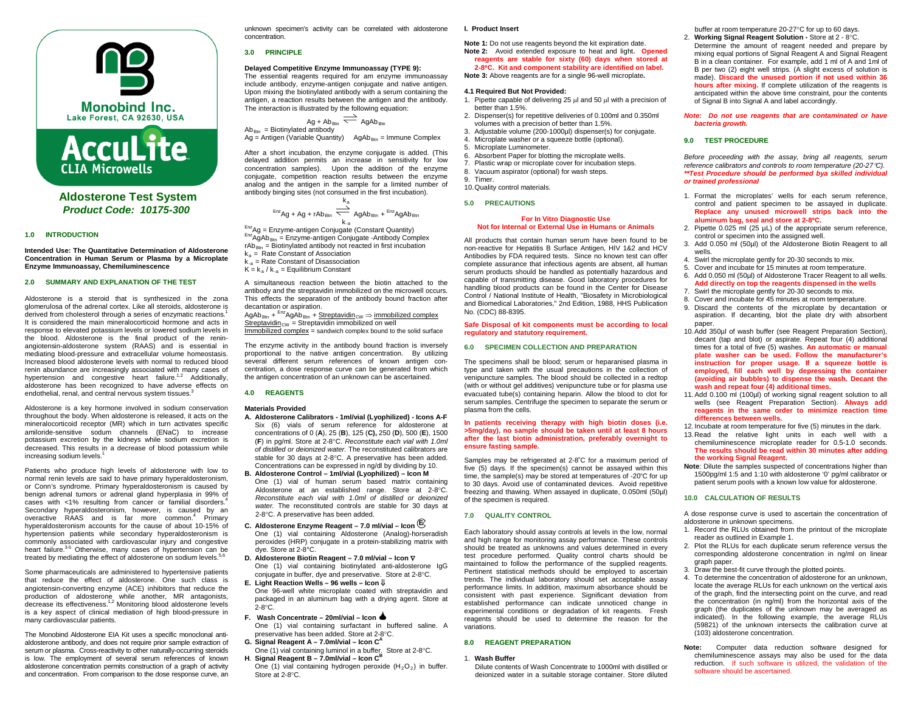

**AccuLite CLIA Microwells** 

# **Aldosterone Test System** *Product Code: 10175-300*

### **1.0 INTRODUCTION**

**Intended Use: The Quantitative Determination of Aldosterone Concentration in Human Serum or Plasma by a Microplate Enzyme Immunoassay, Chemiluminescence**

### **2.0 SUMMARY AND EXPLANATION OF THE TEST**

Aldosterone is a steroid that is synthesized in the zona glomerulosa of the adrenal cortex. Like all steroids, aldosterone is derived from cholesterol through a series of enzymatic reactions.1 It is considered the main mineralocorticoid hormone and acts in response to elevated potassium levels or lowered sodium levels in the blood. Aldosterone is the final product of the reninangiotensin-aldosterone system (RAAS) and is essential in mediating blood-pressure and extracellular volume homeostasis. Increased blood aldosterone levels with normal to reduced blood renin abundance are increasingly associated with many cases of hypertension and congestive heart failure.<sup>1,2</sup> Additionally, aldosterone has been recognized to have adverse effects on endothelial, renal, and central nervous system tissues.<sup>3</sup>

Aldosterone is a key hormone involved in sodium conservation throughout the body. When aldosterone is released, it acts on the mineralocorticoid receptor (MR) which in turn activates specific amiloride-sensitive sodum channels (ENaC) to increase potassium excretion by the kidneys while sodium excretion is decreased. This results in a decrease of blood potassium while increasing sodium levels.<sup>1</sup>

Patients who produce high levels of aldosterone with low to normal renin levels are said to have primary hyperaldosteronism, or Conn's syndrome. Primary hyperaldosteronism is caused by benign adrenal tumors or adrenal gland hyperplasia in 99% of cases with <1% resulting from cancer or familial disorders.<sup>4</sup> Secondary hyperaldosteronism, however, is caused by an overactive RAAS and is far more common. <sup>4</sup> Primary hyperaldosteronism accounts for the cause of about 10-15% of hypertension patients while secondary hyperaldosteronism is commonly associated with cardiovascular injury and congestive heart failure.<sup>3-5</sup> Otherwise, many cases of hypertension can be treated by mediating the effect of aldosterone on sodium levels.<sup>5</sup>

Some pharmaceuticals are administered to hypertensive patients that reduce the effect of aldosterone. One such class is angiotensin-converting enzyme (ACE) inhibitors that reduce the production of aldosterone while another, MR antagonists, decrease its effectiveness.<sup>1,2</sup> Monitoring blood aldosterone levels is a key aspect of clinical mediation of high blood-pressure in many cardiovascular patients.

The Monobind Aldosterone EIA Kit uses a specific monoclonal antialdosterone antibody, and does not require prior sample extraction of serum or plasma. Cross-reactivity to other naturally-occurring steroids is low. The employment of several serum references of known aldosterone concentration permits construction of a graph of activity and concentration. From comparison to the dose response curve, an

unknown specimen's activity can be correlated with aldosterone concentration.

#### **3.0 PRINCIPLE**

### **Delayed Competitive Enzyme Immunoassay (TYPE 9):**

The essential reagents required for am enzyme immunoassay include antibody, enzyme-antigen conjugate and native antigen. Upon mixing the biotinylated antibody with a serum containing the antigen, a reaction results between the antigen and the antibody. The interaction is illustrated by the following equation:

$$
Ag + Ab_{Btn} \xrightarrow{\text{#4b}_{Btn}} AgAb_{Btn}
$$
  
= Biotinylated antibody

Ab<sub>Btn</sub> = Biotinylated antibody<br>Ag = Antigen (Variable Quantity) AgAb<sub>Btn</sub> = Immune Complex

After a short incubation, the enzyme conjugate is added. (This delayed addition permits an increase in sensitivity for low concentration samples). Upon the addition of the enzyme conjugate, competition reaction results between the enzyme analog and the antigen in the sample for a limited number of antibody binging sites (not consumed in the first incubation).

$$
^{Enz}Ag + Ag + rAb_{Btn} \xrightarrow{k_a} AgAb_{Btn} + ^{Enz}AgAb_{Btn}
$$

 $E_{nz}$ Ag = Enzyme-antigen Conjugate (Constant Quantity)<br>  $E_{nz}$ AgAb<sub>Btn</sub> = Enzyme-antigen Conjugate -Antibody Complex  $rAb_{Btn}$  = Biotinylated antibody not reacted in first incubation  $k_a$  = Rate Constant of Association

- $k_{a}$  = Rate Constant of Disassociation
- $K = k_a / k_{-a} =$  Equilibrium Constant

A simultaneous reaction between the biotin attached to the antibody and the streptavidin immobilized on the microwell occurs. This effects the separation of the antibody bound fraction after decantation or aspiration.

#### $A\alpha Ab_{\text{Btn}} + \frac{\text{EnZ}}{A\alpha Ab_{\text{Btn}}} +$  Streptavidin<sub>CW</sub>  $\Rightarrow$  immobilized complex  $Streptavidin<sub>CW</sub> = Streptavidin immobilized on well$

Immobilized complex = sandwich complex bound to the solid surface

The enzyme activity in the antibody bound fraction is inversely proportional to the native antigen concentration. By utilizing several different serum references of known antigen concentration, a dose response curve can be generated from which the antigen concentration of an unknown can be ascertained.

### **4.0 REAGENTS**

### **Materials Provided**

- **A. Aldosterone Calibrators - 1ml/vial (Lyophilized) - Icons A-F** Six (6) vials of serum reference for aldosterone at concentrations of 0 (**A**), 25 (**B**), 125 (**C),** 250 (**D**), 500 (**E**), 1500 (**F**) in pg/ml. Store at 2-8°C. *Reconstitute each vial with 1.0ml of distilled or deionized water.* The reconstituted calibrators are stable for 30 days at 2-8°C. A preservative has been added. Concentrations can be expressed in ng/dl by dividing by 10.
- **B. Aldosterone Control – 1ml/vial (Lyophilized) – Icon M** One (1) vial of human serum based matrix containing Aldosterone at an established range. Store at 2-8°C. *Reconstitute each vial with 1.0ml of distilled or deionized water.* The reconstituted controls are stable for 30 days at 2-8°C. A preservative has been added.
- **C. Aldosterone Enzyme Reagent – 7.0 ml/vial – Icon <sup>E</sup>** One (1) vial containing Aldosterone (Analog)-horseradish peroxides (HRP) conjugate in a protein-stabilizing matrix with dye. Store at 2-8°C.
- **D. Aldosterone Biotin Reagent – 7.0 ml/vial – Icon** ∇ One (1) vial containing biotinylated anti-aldosterone IgG
- conjugate in buffer, dye and preservative. Store at 2-8°C. **E. Light Reaction Wells – 96 wells – Icon** ⇓ One 96-well white microplate coated with streptavidin and

packaged in an aluminum bag with a drying agent. Store at 2-8°C. **F. Wash Concentrate – 20ml/vial – Icon**

- One (1) vial containing surfactant in buffered saline. A preservative has been added. Store at 2-8°C.
- **G. Signal Reagent A – 7.0ml/vial – Icon CA** One (1) vial containing luminol in a buffer. Store at 2-8°C.
- **H**. **Signal Reagent B – 7.0ml/vial – Icon CB**

One (1) vial containing hydrogen peroxide  $(H_2O_2)$  in buffer. Store at 2-8°C.

# **I. Product Insert**

#### **Note 1:** Do not use reagents beyond the kit expiration date. **Note 2:** Avoid extended exposure to heat and light**. Opened reagents are stable for sixty (60) days when stored at 2-8**°**C. Kit and component stability are identified on label.**

**Note 3:** Above reagents are for a single 96-well microplate**.**

### **4.1 Required But Not Provided:**

- 1. Pipette capable of delivering 25 µl and 50 µl with a precision of better than 1.5%.
- 2. Dispenser(s) for repetitive deliveries of 0.100ml and 0.350ml volumes with a precision of better than 1.5%.
- 3. Adjustable volume (200-1000µl) dispenser(s) for conjugate.
- 4. Microplate washer or a squeeze bottle (optional).
- 5. Microplate Luminometer.
- 6. Absorbent Paper for blotting the microplate wells. 7. Plastic wrap or microplate cover for incubation steps.
- 8. Vacuum aspirator (optional) for wash steps.
- 9. Timer.
- 10.Quality control materials.

#### **5.0 PRECAUTIONS**

#### **For In Vitro Diagnostic Use Not for Internal or External Use in Humans or Animals**

All products that contain human serum have been found to be non-reactive for Hepatitis B Surface Antigen, HIV 1&2 and HCV Antibodies by FDA required tests. Since no known test can offer complete assurance that infectious agents are absent, all human serum products should be handled as potentially hazardous and capable of transmitting disease. Good laboratory procedures for handling blood products can be found in the Center for Disease Control / National Institute of Health, "Biosafety in Microbiological and Biomedical Laboratories," 2nd Edition, 1988, HHS Publication No. (CDC) 88-8395.

#### **Safe Disposal of kit components must be according to local regulatory and statutory requirement.**

# **6.0 SPECIMEN COLLECTION AND PREPARATION**

The specimens shall be blood; serum or heparanised plasma in type and taken with the usual precautions in the collection of venipuncture samples. The blood should be collected in a redtop (with or without gel additives) venipuncture tube or for plasma use evacuated tube(s) containing heparin. Allow the blood to clot for serum samples. Centrifuge the specimen to separate the serum or plasma from the cells.

#### **In patients receiving therapy with high biotin doses (i.e. >5mg/day), no sample should be taken until at least 8 hours after the last biotin administration, preferably overnight to ensure fasting sample.**

Samples may be refrigerated at 2-8°C for a maximum period of five (5) days. If the specimen(s) cannot be assayed within this time, the sample(s) may be stored at temperatures of -20°C for up to 30 days. Avoid use of contaminated devices. Avoid repetitive freezing and thawing. When assayed in duplicate, 0.050ml (50µl) of the specimen is required.

### **7.0 QUALITY CONTROL**

Each laboratory should assay controls at levels in the low, normal and high range for monitoring assay performance. These controls should be treated as unknowns and values determined in every test procedure performed. Quality control charts should be maintained to follow the performance of the supplied reagents. Pertinent statistical methods should be employed to ascertain trends. The individual laboratory should set acceptable assay performance limits. In addition, maximum absorbance should be consistent with past experience. Significant deviation from established performance can indicate unnoticed change in experimental conditions or degradation of kit reagents. Fresh reagents should be used to determine the reason for the variations.

#### **8.0 REAGENT PREPARATION**

#### 1. **Wash Buffer**

Dilute contents of Wash Concentrate to 1000ml with distilled or deionized water in a suitable storage container. Store diluted

- buffer at room temperature 20-27°C for up to 60 days. 2. **Working Signal Reagent Solution -** Store at 2 - 8°C. Determine the amount of reagent needed and prepare by mixing equal portions of Signal Reagent A and Signal Reagent B in a clean container. For example, add 1 ml of A and 1ml of B per two (2) eight well strips. (A slight excess of solution is made). **Discard the unused portion if not used within 36 hours after mixing.** If complete utilization of the reagents is anticipated within the above time constraint, pour the contents of Signal B into Signal A and label accordingly.
- *Note: Do not use reagents that are contaminated or have bacteria growth.*

#### **9.0 TEST PROCEDURE**

*Before proceeding with the assay, bring all reagents, serum reference calibrators and controls to room temperature (20-27*°*C). \*\*Test Procedure should be performed bya skilled individual or trained professional*

- 1. Format the microplates' wells for each serum reference, control and patient specimen to be assayed in duplicate. **Replace any unused microwell strips back into the aluminum bag, seal and store at 2-8**°**C.**
- 2. Pipette 0.025 ml (25 µL) of the appropriate serum reference, control or specimen into the assigned well.
- 3. Add 0.050 ml (50µl) of the Aldosterone Biotin Reagent to all wells.
- 4. Swirl the microplate gently for 20-30 seconds to mix.
- 5. Cover and incubate for 15 minutes at room temperature.
- 6. Add 0.050 ml (50µl) of Aldosterone Tracer Reagent to all wells. **Add directly on top the reagents dispensed in the wells**
- Swirl the microplate gently for 20-30 seconds to mix.
- 8. Cover and incubate for 45 minutes at room temperature.

9. Discard the contents of the microplate by decantation or aspiration. If decanting, blot the plate dry with absorbent paper.

- 10.Add 350µl of wash buffer (see Reagent Preparation Section), decant (tap and blot) or aspirate. Repeat four (4) additional times for a total of five (5) washes. **An automatic or manual plate washer can be used. Follow the manufacturer's instruction for proper usage. If a squeeze bottle is employed, fill each well by depressing the container (avoiding air bubbles) to dispense the wash. Decant the wash and repeat four (4) additional times.**
- 11.Add 0.100 ml (100µl) of working signal reagent solution to all wells (see Reagent Preparation Section). **Always add reagents in the same order to minimize reaction time differences between wells.**
- 12. Incubate at room temperature for five (5) minutes in the dark.
- 13.Read the relative light units in each well with a chemiluminescence microplate reader for 0.5-1.0 seconds. **The results should be read within 30 minutes after adding the working Signal Reagent.**
- **Note**: Dilute the samples suspected of concentrations higher than 1500pg/ml 1:5 and 1:10 with aldosterone '0' pg/ml calibrator or patient serum pools with a known low value for aldosterone.

### **10.0 CALCULATION OF RESULTS**

A dose response curve is used to ascertain the concentration of aldosterone in unknown specimens.

- 1. Record the RLUs obtained from the printout of the microplate reader as outlined in Example 1.
- 2. Plot the RLUs for each duplicate serum reference versus the corresponding aldosterone concentration in ng/ml on linear graph paper.
- 3. Draw the best-fit curve through the plotted points.
- 4. To determine the concentration of aldosterone for an unknown, locate the average RLUs for each unknown on the vertical axis of the graph, find the intersecting point on the curve, and read the concentration (in ng/ml) from the horizontal axis of the graph (the duplicates of the unknown may be averaged as indicated). In the following example, the average RLUs (59821) of the unknown intersects the calibration curve at (103) aldosterone concentration.
- **Note:** Computer data reduction software designed for chemiluminescence assays may also be used for the data reduction. If such software is utilized, the validation of the software should be ascertained.